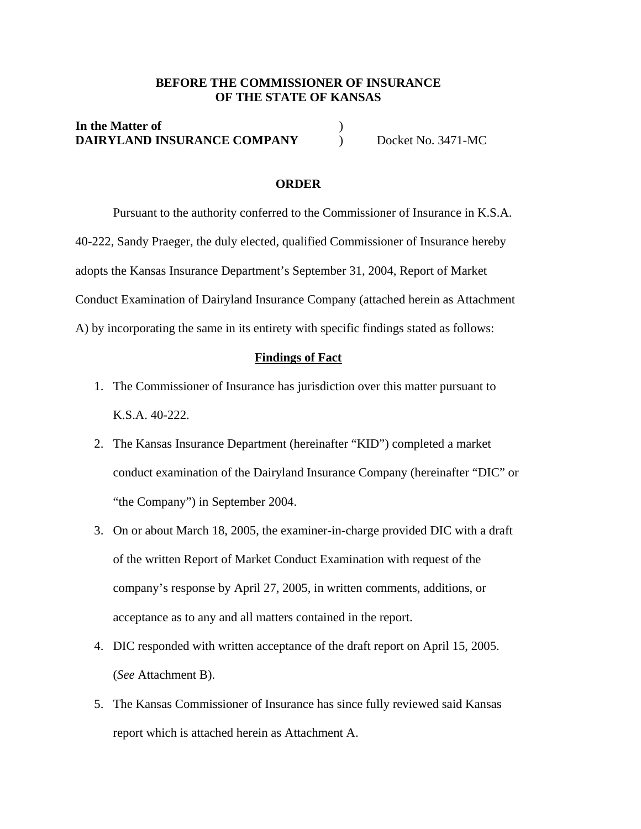#### **BEFORE THE COMMISSIONER OF INSURANCE OF THE STATE OF KANSAS**

### **In the Matter of** ) **DAIRYLAND INSURANCE COMPANY** Docket No. 3471-MC

#### **ORDER**

 Pursuant to the authority conferred to the Commissioner of Insurance in K.S.A. 40-222, Sandy Praeger, the duly elected, qualified Commissioner of Insurance hereby adopts the Kansas Insurance Department's September 31, 2004, Report of Market Conduct Examination of Dairyland Insurance Company (attached herein as Attachment A) by incorporating the same in its entirety with specific findings stated as follows:

#### **Findings of Fact**

- 1. The Commissioner of Insurance has jurisdiction over this matter pursuant to K.S.A. 40-222.
- 2. The Kansas Insurance Department (hereinafter "KID") completed a market conduct examination of the Dairyland Insurance Company (hereinafter "DIC" or "the Company") in September 2004.
- 3. On or about March 18, 2005, the examiner-in-charge provided DIC with a draft of the written Report of Market Conduct Examination with request of the company's response by April 27, 2005, in written comments, additions, or acceptance as to any and all matters contained in the report.
- 4. DIC responded with written acceptance of the draft report on April 15, 2005. (*See* Attachment B).
- 5. The Kansas Commissioner of Insurance has since fully reviewed said Kansas report which is attached herein as Attachment A.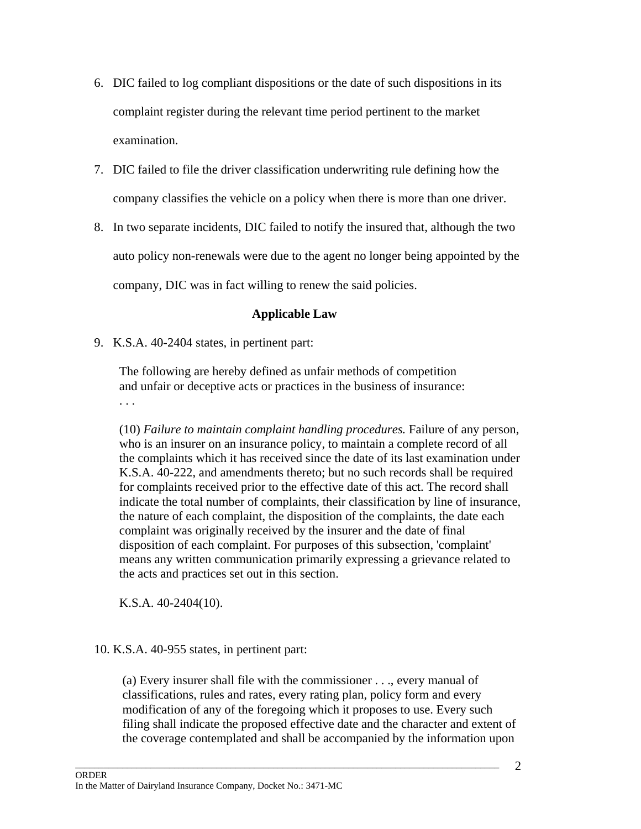- 6. DIC failed to log compliant dispositions or the date of such dispositions in its complaint register during the relevant time period pertinent to the market examination.
- 7. DIC failed to file the driver classification underwriting rule defining how the company classifies the vehicle on a policy when there is more than one driver.
- 8. In two separate incidents, DIC failed to notify the insured that, although the two auto policy non-renewals were due to the agent no longer being appointed by the company, DIC was in fact willing to renew the said policies.

## **Applicable Law**

9. K.S.A. 40-2404 states, in pertinent part:

The following are hereby defined as unfair methods of competition and unfair or deceptive acts or practices in the business of insurance: . . .

(10) *Failure to maintain complaint handling procedures.* Failure of any person, who is an insurer on an insurance policy, to maintain a complete record of all the complaints which it has received since the date of its last examination under K.S.A. 40-222, and amendments thereto; but no such records shall be required for complaints received prior to the effective date of this act. The record shall indicate the total number of complaints, their classification by line of insurance, the nature of each complaint, the disposition of the complaints, the date each complaint was originally received by the insurer and the date of final disposition of each complaint. For purposes of this subsection, 'complaint' means any written communication primarily expressing a grievance related to the acts and practices set out in this section.

K.S.A. 40-2404(10).

## 10. K.S.A. 40-955 states, in pertinent part:

(a) Every insurer shall file with the commissioner . . ., every manual of classifications, rules and rates, every rating plan, policy form and every modification of any of the foregoing which it proposes to use. Every such filing shall indicate the proposed effective date and the character and extent of the coverage contemplated and shall be accompanied by the information upon

 $\Box$  . The contribution of the contribution of the contribution of the contribution of the contribution of the contribution of the contribution of the contribution of the contribution of the contribution of the contributi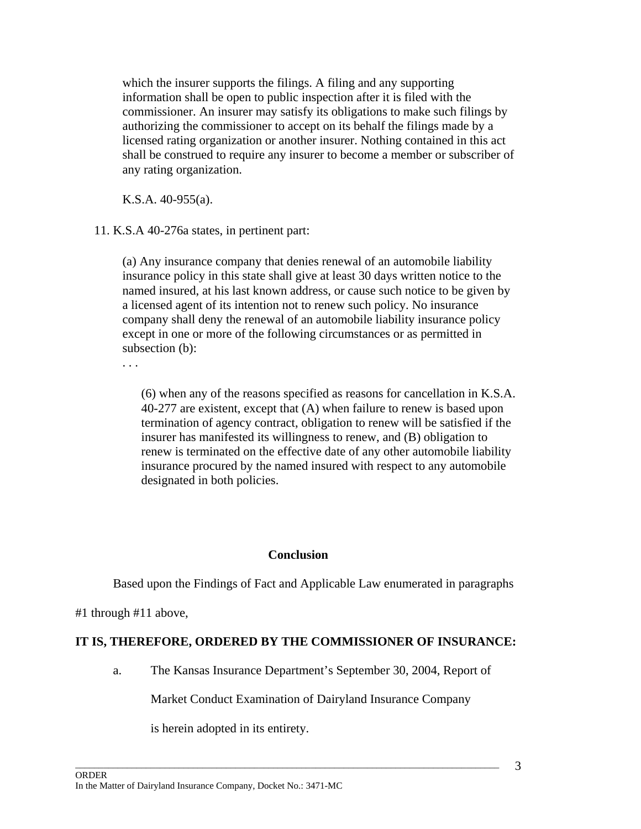which the insurer supports the filings. A filing and any supporting information shall be open to public inspection after it is filed with the commissioner. An insurer may satisfy its obligations to make such filings by authorizing the commissioner to accept on its behalf the filings made by a licensed rating organization or another insurer. Nothing contained in this act shall be construed to require any insurer to become a member or subscriber of any rating organization.

K.S.A. 40-955(a).

11. K.S.A 40-276a states, in pertinent part:

(a) Any insurance company that denies renewal of an automobile liability insurance policy in this state shall give at least 30 days written notice to the named insured, at his last known address, or cause such notice to be given by a licensed agent of its intention not to renew such policy. No insurance company shall deny the renewal of an automobile liability insurance policy except in one or more of the following circumstances or as permitted in subsection (b):

. . .

(6) when any of the reasons specified as reasons for cancellation in K.S.A. 40-277 are existent, except that (A) when failure to renew is based upon termination of agency contract, obligation to renew will be satisfied if the insurer has manifested its willingness to renew, and (B) obligation to renew is terminated on the effective date of any other automobile liability insurance procured by the named insured with respect to any automobile designated in both policies.

### **Conclusion**

Based upon the Findings of Fact and Applicable Law enumerated in paragraphs

#1 through #11 above,

## **IT IS, THEREFORE, ORDERED BY THE COMMISSIONER OF INSURANCE:**

 $\Box$  . The contribution of the contribution of the contribution of the contribution of the contribution of the contribution of the contribution of the contribution of the contribution of the contribution of the contributi

a. The Kansas Insurance Department's September 30, 2004, Report of

Market Conduct Examination of Dairyland Insurance Company

is herein adopted in its entirety.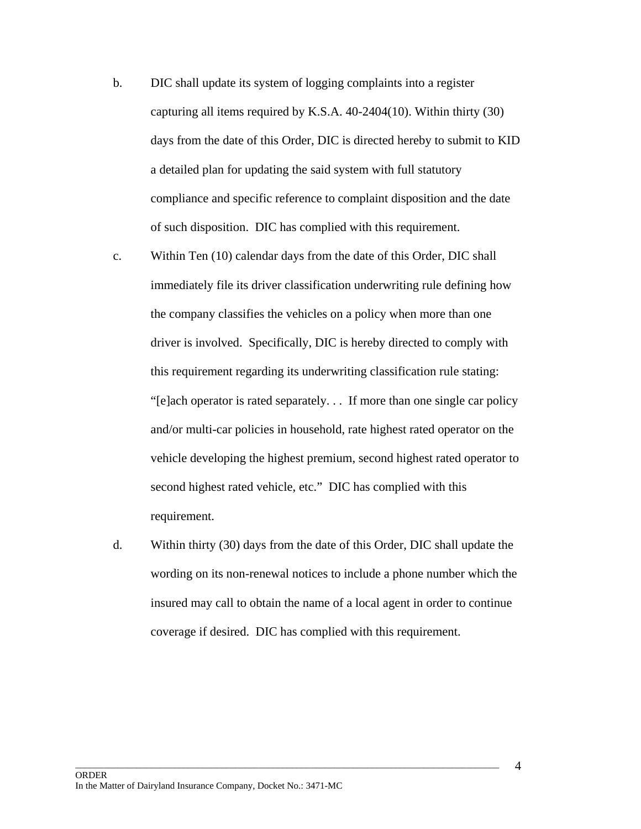- b. DIC shall update its system of logging complaints into a register capturing all items required by K.S.A. 40-2404(10). Within thirty (30) days from the date of this Order, DIC is directed hereby to submit to KID a detailed plan for updating the said system with full statutory compliance and specific reference to complaint disposition and the date of such disposition. DIC has complied with this requirement.
- c. Within Ten (10) calendar days from the date of this Order, DIC shall immediately file its driver classification underwriting rule defining how the company classifies the vehicles on a policy when more than one driver is involved. Specifically, DIC is hereby directed to comply with this requirement regarding its underwriting classification rule stating: "[e]ach operator is rated separately. . . If more than one single car policy and/or multi-car policies in household, rate highest rated operator on the vehicle developing the highest premium, second highest rated operator to second highest rated vehicle, etc." DIC has complied with this requirement.
- d. Within thirty (30) days from the date of this Order, DIC shall update the wording on its non-renewal notices to include a phone number which the insured may call to obtain the name of a local agent in order to continue coverage if desired. DIC has complied with this requirement.

 $\Box$  . The contribution of the contribution of the contribution of the contribution of the contribution of the contribution of the contribution of the contribution of the contribution of the contribution of the contributi

4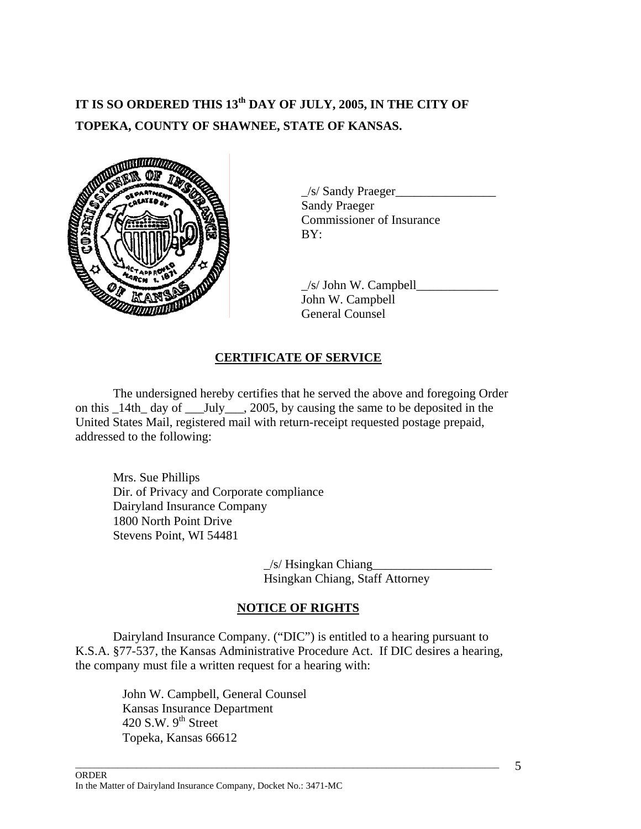# **IT IS SO ORDERED THIS 13th DAY OF JULY, 2005, IN THE CITY OF TOPEKA, COUNTY OF SHAWNEE, STATE OF KANSAS.**



 $\angle$ s/ Sandy Praeger $\angle$ Sandy Praeger Commissioner of Insurance

 $\frac{1}{s}$  John W. Campbell John W. Campbell General Counsel

## **CERTIFICATE OF SERVICE**

 The undersigned hereby certifies that he served the above and foregoing Order on this \_14th\_ day of \_\_\_July\_\_\_, 2005, by causing the same to be deposited in the United States Mail, registered mail with return-receipt requested postage prepaid, addressed to the following:

Mrs. Sue Phillips Dir. of Privacy and Corporate compliance Dairyland Insurance Company 1800 North Point Drive Stevens Point, WI 54481

> $\angle$ s/ Hsingkan Chiang Hsingkan Chiang, Staff Attorney

# **NOTICE OF RIGHTS**

 Dairyland Insurance Company. ("DIC") is entitled to a hearing pursuant to K.S.A. §77-537, the Kansas Administrative Procedure Act. If DIC desires a hearing, the company must file a written request for a hearing with:

 $\Box$  . The contribution of the contribution of the contribution of the contribution of the contribution of the contribution of the contribution of the contribution of the contribution of the contribution of the contributi

John W. Campbell, General Counsel Kansas Insurance Department 420 S.W.  $9<sup>th</sup>$  Street Topeka, Kansas 66612